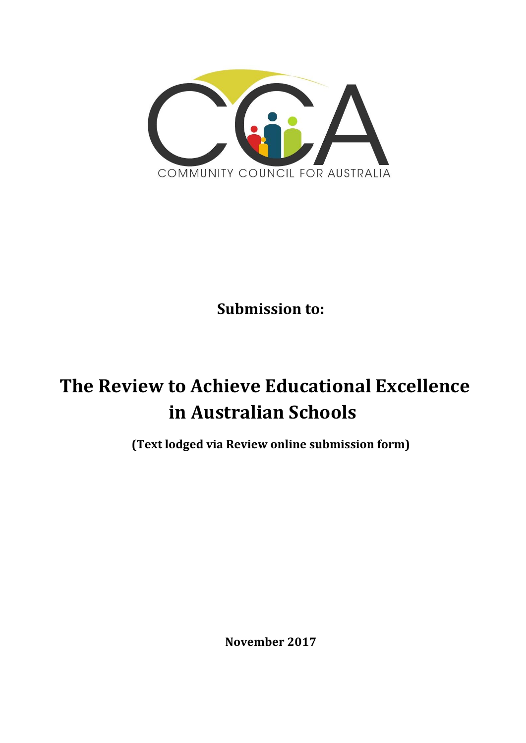

**Submission to:**

# **The Review to Achieve Educational Excellence in Australian Schools**

**(Text lodged via Review online submission form)**

**November 2017**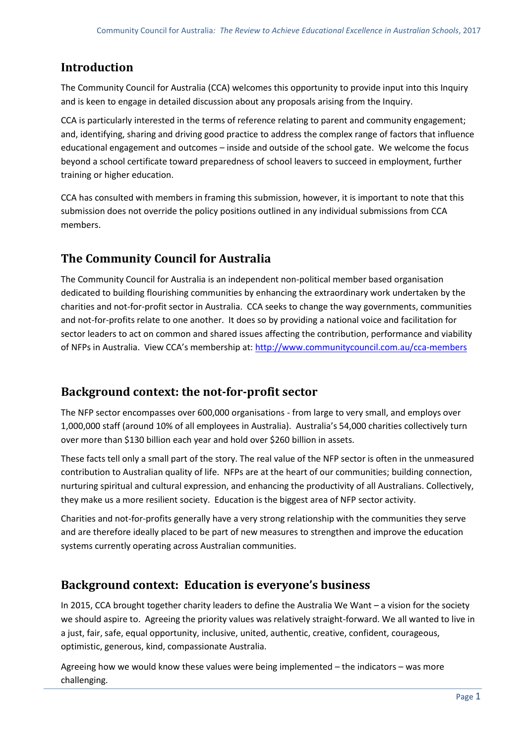# **Introduction**

The Community Council for Australia (CCA) welcomes this opportunity to provide input into this Inquiry and is keen to engage in detailed discussion about any proposals arising from the Inquiry.

CCA is particularly interested in the terms of reference relating to parent and community engagement; and, identifying, sharing and driving good practice to address the complex range of factors that influence educational engagement and outcomes – inside and outside of the school gate. We welcome the focus beyond a school certificate toward preparedness of school leavers to succeed in employment, further training or higher education.

CCA has consulted with members in framing this submission, however, it is important to note that this submission does not override the policy positions outlined in any individual submissions from CCA members.

# **The Community Council for Australia**

The Community Council for Australia is an independent non-political member based organisation dedicated to building flourishing communities by enhancing the extraordinary work undertaken by the charities and not-for-profit sector in Australia. CCA seeks to change the way governments, communities and not-for-profits relate to one another. It does so by providing a national voice and facilitation for sector leaders to act on common and shared issues affecting the contribution, performance and viability of NFPs in Australia. View CCA's membership at: <http://www.communitycouncil.com.au/cca-members>

# **Background context: the not-for-profit sector**

The NFP sector encompasses over 600,000 organisations - from large to very small, and employs over 1,000,000 staff (around 10% of all employees in Australia). Australia's 54,000 charities collectively turn over more than \$130 billion each year and hold over \$260 billion in assets.

These facts tell only a small part of the story. The real value of the NFP sector is often in the unmeasured contribution to Australian quality of life. NFPs are at the heart of our communities; building connection, nurturing spiritual and cultural expression, and enhancing the productivity of all Australians. Collectively, they make us a more resilient society. Education is the biggest area of NFP sector activity.

Charities and not-for-profits generally have a very strong relationship with the communities they serve and are therefore ideally placed to be part of new measures to strengthen and improve the education systems currently operating across Australian communities.

# **Background context: Education is everyone's business**

In 2015, CCA brought together charity leaders to define the Australia We Want – a vision for the society we should aspire to. Agreeing the priority values was relatively straight-forward. We all wanted to live in a just, fair, safe, equal opportunity, inclusive, united, authentic, creative, confident, courageous, optimistic, generous, kind, compassionate Australia.

Agreeing how we would know these values were being implemented – the indicators – was more challenging.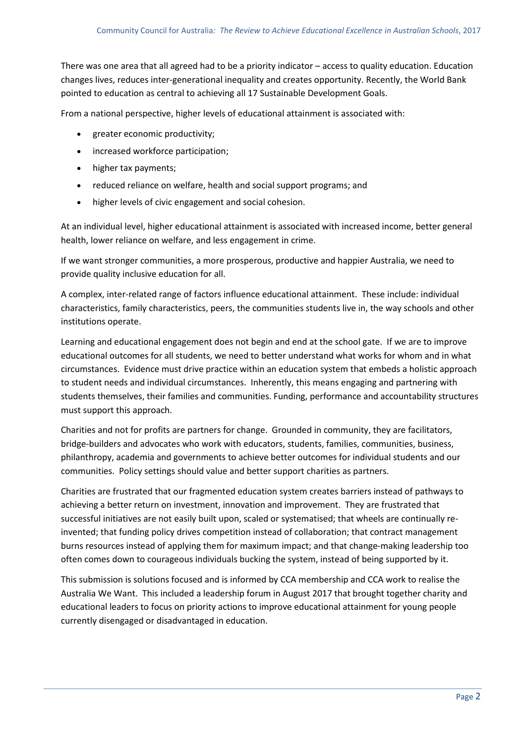There was one area that all agreed had to be a priority indicator – access to quality education. Education changes lives, reduces inter-generational inequality and creates opportunity. Recently, the World Bank pointed to education as central to achieving all 17 Sustainable Development Goals.

From a national perspective, higher levels of educational attainment is associated with:

- greater economic productivity;
- increased workforce participation;
- higher tax payments;
- reduced reliance on welfare, health and social support programs; and
- higher levels of civic engagement and social cohesion.

At an individual level, higher educational attainment is associated with increased income, better general health, lower reliance on welfare, and less engagement in crime.

If we want stronger communities, a more prosperous, productive and happier Australia, we need to provide quality inclusive education for all.

A complex, inter-related range of factors influence educational attainment. These include: individual characteristics, family characteristics, peers, the communities students live in, the way schools and other institutions operate.

Learning and educational engagement does not begin and end at the school gate. If we are to improve educational outcomes for all students, we need to better understand what works for whom and in what circumstances. Evidence must drive practice within an education system that embeds a holistic approach to student needs and individual circumstances. Inherently, this means engaging and partnering with students themselves, their families and communities. Funding, performance and accountability structures must support this approach.

Charities and not for profits are partners for change. Grounded in community, they are facilitators, bridge-builders and advocates who work with educators, students, families, communities, business, philanthropy, academia and governments to achieve better outcomes for individual students and our communities. Policy settings should value and better support charities as partners.

Charities are frustrated that our fragmented education system creates barriers instead of pathways to achieving a better return on investment, innovation and improvement. They are frustrated that successful initiatives are not easily built upon, scaled or systematised; that wheels are continually reinvented; that funding policy drives competition instead of collaboration; that contract management burns resources instead of applying them for maximum impact; and that change-making leadership too often comes down to courageous individuals bucking the system, instead of being supported by it.

This submission is solutions focused and is informed by CCA membership and CCA work to realise the Australia We Want. This included a leadership forum in August 2017 that brought together charity and educational leaders to focus on priority actions to improve educational attainment for young people currently disengaged or disadvantaged in education.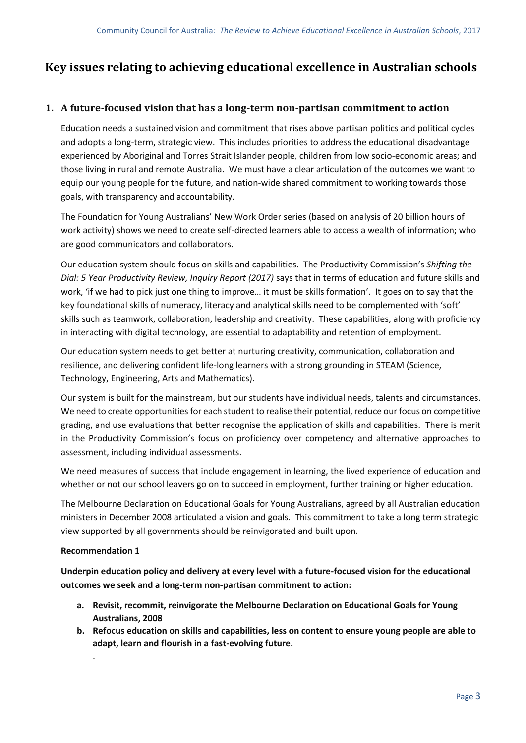# **Key issues relating to achieving educational excellence in Australian schools**

# **1. A future-focused vision that has a long-term non-partisan commitment to action**

Education needs a sustained vision and commitment that rises above partisan politics and political cycles and adopts a long-term, strategic view. This includes priorities to address the educational disadvantage experienced by Aboriginal and Torres Strait Islander people, children from low socio-economic areas; and those living in rural and remote Australia. We must have a clear articulation of the outcomes we want to equip our young people for the future, and nation-wide shared commitment to working towards those goals, with transparency and accountability.

The Foundation for Young Australians' New Work Order series (based on analysis of 20 billion hours of work activity) shows we need to create self-directed learners able to access a wealth of information; who are good communicators and collaborators.

Our education system should focus on skills and capabilities. The Productivity Commission's *Shifting the Dial: 5 Year Productivity Review, Inquiry Report (2017)* says that in terms of education and future skills and work, 'if we had to pick just one thing to improve… it must be skills formation'. It goes on to say that the key foundational skills of numeracy, literacy and analytical skills need to be complemented with 'soft' skills such as teamwork, collaboration, leadership and creativity. These capabilities, along with proficiency in interacting with digital technology, are essential to adaptability and retention of employment.

Our education system needs to get better at nurturing creativity, communication, collaboration and resilience, and delivering confident life-long learners with a strong grounding in STEAM (Science, Technology, Engineering, Arts and Mathematics).

Our system is built for the mainstream, but our students have individual needs, talents and circumstances. We need to create opportunities for each student to realise their potential, reduce our focus on competitive grading, and use evaluations that better recognise the application of skills and capabilities. There is merit in the Productivity Commission's focus on proficiency over competency and alternative approaches to assessment, including individual assessments.

We need measures of success that include engagement in learning, the lived experience of education and whether or not our school leavers go on to succeed in employment, further training or higher education.

The Melbourne Declaration on Educational Goals for Young Australians, agreed by all Australian education ministers in December 2008 articulated a vision and goals. This commitment to take a long term strategic view supported by all governments should be reinvigorated and built upon.

## **Recommendation 1**

.

**Underpin education policy and delivery at every level with a future-focused vision for the educational outcomes we seek and a long-term non-partisan commitment to action:**

- **a. Revisit, recommit, reinvigorate the Melbourne Declaration on Educational Goals for Young Australians, 2008**
- **b. Refocus education on skills and capabilities, less on content to ensure young people are able to adapt, learn and flourish in a fast-evolving future.**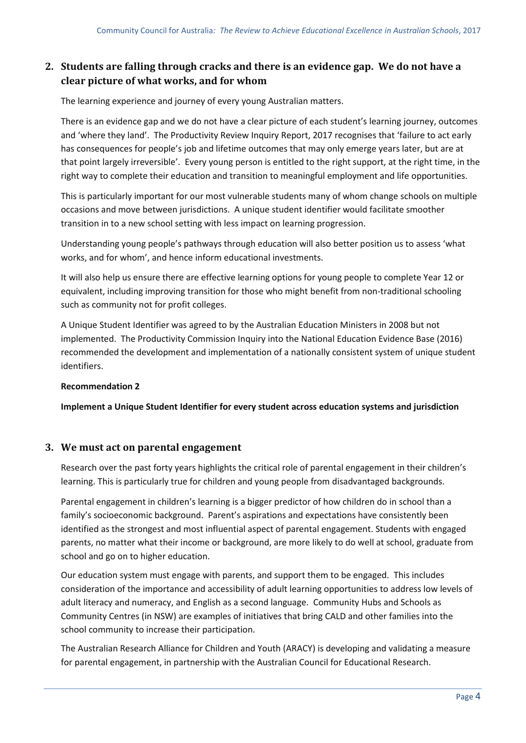# **2. Students are falling through cracks and there is an evidence gap. We do not have a clear picture of what works, and for whom**

The learning experience and journey of every young Australian matters.

There is an evidence gap and we do not have a clear picture of each student's learning journey, outcomes and 'where they land'. The Productivity Review Inquiry Report, 2017 recognises that 'failure to act early has consequences for people's job and lifetime outcomes that may only emerge years later, but are at that point largely irreversible'. Every young person is entitled to the right support, at the right time, in the right way to complete their education and transition to meaningful employment and life opportunities.

This is particularly important for our most vulnerable students many of whom change schools on multiple occasions and move between jurisdictions. A unique student identifier would facilitate smoother transition in to a new school setting with less impact on learning progression.

Understanding young people's pathways through education will also better position us to assess 'what works, and for whom', and hence inform educational investments.

It will also help us ensure there are effective learning options for young people to complete Year 12 or equivalent, including improving transition for those who might benefit from non-traditional schooling such as community not for profit colleges.

A Unique Student Identifier was agreed to by the Australian Education Ministers in 2008 but not implemented. The Productivity Commission Inquiry into the National Education Evidence Base (2016) recommended the development and implementation of a nationally consistent system of unique student identifiers.

## **Recommendation 2**

**Implement a Unique Student Identifier for every student across education systems and jurisdiction**

## **3. We must act on parental engagement**

Research over the past forty years highlights the critical role of parental engagement in their children's learning. This is particularly true for children and young people from disadvantaged backgrounds.

Parental engagement in children's learning is a bigger predictor of how children do in school than a family's socioeconomic background. Parent's aspirations and expectations have consistently been identified as the strongest and most influential aspect of parental engagement. Students with engaged parents, no matter what their income or background, are more likely to do well at school, graduate from school and go on to higher education.

Our education system must engage with parents, and support them to be engaged. This includes consideration of the importance and accessibility of adult learning opportunities to address low levels of adult literacy and numeracy, and English as a second language. Community Hubs and Schools as Community Centres (in NSW) are examples of initiatives that bring CALD and other families into the school community to increase their participation.

The Australian Research Alliance for Children and Youth (ARACY) is developing and validating a measure for parental engagement, in partnership with the Australian Council for Educational Research.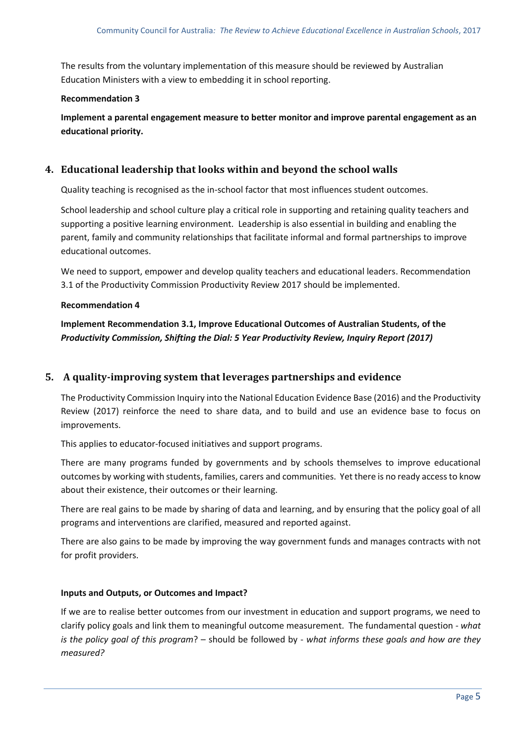The results from the voluntary implementation of this measure should be reviewed by Australian Education Ministers with a view to embedding it in school reporting.

## **Recommendation 3**

**Implement a parental engagement measure to better monitor and improve parental engagement as an educational priority.** 

# **4. Educational leadership that looks within and beyond the school walls**

Quality teaching is recognised as the in-school factor that most influences student outcomes.

School leadership and school culture play a critical role in supporting and retaining quality teachers and supporting a positive learning environment. Leadership is also essential in building and enabling the parent, family and community relationships that facilitate informal and formal partnerships to improve educational outcomes.

We need to support, empower and develop quality teachers and educational leaders. Recommendation 3.1 of the Productivity Commission Productivity Review 2017 should be implemented.

## **Recommendation 4**

**Implement Recommendation 3.1, Improve Educational Outcomes of Australian Students, of the**  *Productivity Commission, Shifting the Dial: 5 Year Productivity Review, Inquiry Report (2017)*

# **5. A quality-improving system that leverages partnerships and evidence**

The Productivity Commission Inquiry into the National Education Evidence Base (2016) and the Productivity Review (2017) reinforce the need to share data, and to build and use an evidence base to focus on improvements.

This applies to educator-focused initiatives and support programs.

There are many programs funded by governments and by schools themselves to improve educational outcomes by working with students, families, carers and communities. Yet there is no ready access to know about their existence, their outcomes or their learning.

There are real gains to be made by sharing of data and learning, and by ensuring that the policy goal of all programs and interventions are clarified, measured and reported against.

There are also gains to be made by improving the way government funds and manages contracts with not for profit providers.

## **Inputs and Outputs, or Outcomes and Impact?**

If we are to realise better outcomes from our investment in education and support programs, we need to clarify policy goals and link them to meaningful outcome measurement. The fundamental question - *what is the policy goal of this program*? – should be followed by - *what informs these goals and how are they measured?*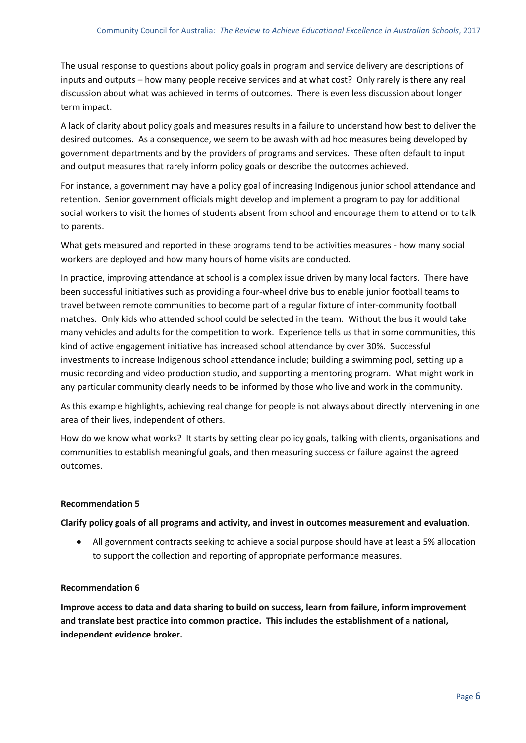The usual response to questions about policy goals in program and service delivery are descriptions of inputs and outputs – how many people receive services and at what cost? Only rarely is there any real discussion about what was achieved in terms of outcomes. There is even less discussion about longer term impact.

A lack of clarity about policy goals and measures results in a failure to understand how best to deliver the desired outcomes. As a consequence, we seem to be awash with ad hoc measures being developed by government departments and by the providers of programs and services. These often default to input and output measures that rarely inform policy goals or describe the outcomes achieved.

For instance, a government may have a policy goal of increasing Indigenous junior school attendance and retention. Senior government officials might develop and implement a program to pay for additional social workers to visit the homes of students absent from school and encourage them to attend or to talk to parents.

What gets measured and reported in these programs tend to be activities measures - how many social workers are deployed and how many hours of home visits are conducted.

In practice, improving attendance at school is a complex issue driven by many local factors. There have been successful initiatives such as providing a four-wheel drive bus to enable junior football teams to travel between remote communities to become part of a regular fixture of inter-community football matches. Only kids who attended school could be selected in the team. Without the bus it would take many vehicles and adults for the competition to work. Experience tells us that in some communities, this kind of active engagement initiative has increased school attendance by over 30%. Successful investments to increase Indigenous school attendance include; building a swimming pool, setting up a music recording and video production studio, and supporting a mentoring program. What might work in any particular community clearly needs to be informed by those who live and work in the community.

As this example highlights, achieving real change for people is not always about directly intervening in one area of their lives, independent of others.

How do we know what works? It starts by setting clear policy goals, talking with clients, organisations and communities to establish meaningful goals, and then measuring success or failure against the agreed outcomes.

# **Recommendation 5**

## **Clarify policy goals of all programs and activity, and invest in outcomes measurement and evaluation**.

 All government contracts seeking to achieve a social purpose should have at least a 5% allocation to support the collection and reporting of appropriate performance measures.

## **Recommendation 6**

**Improve access to data and data sharing to build on success, learn from failure, inform improvement and translate best practice into common practice. This includes the establishment of a national, independent evidence broker.**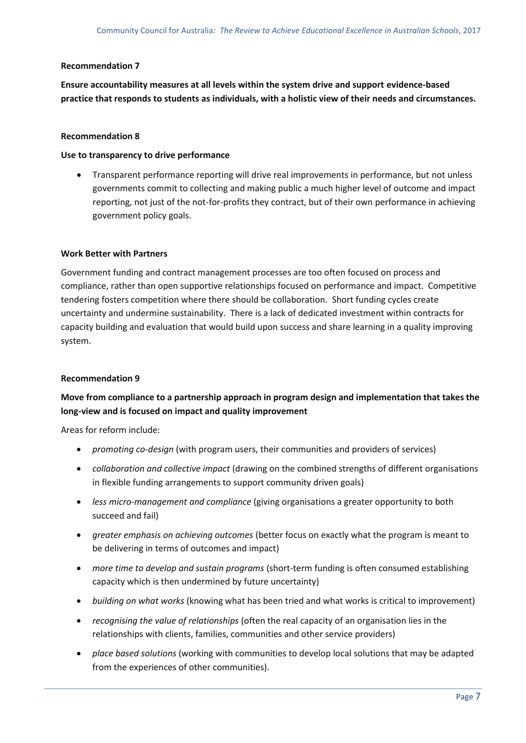#### **Recommendation 7**

**Ensure accountability measures at all levels within the system drive and support evidence-based practice that responds to students as individuals, with a holistic view of their needs and circumstances.**

#### **Recommendation 8**

#### **Use to transparency to drive performance**

• Transparent performance reporting will drive real improvements in performance, but not unless governments commit to collecting and making public a much higher level of outcome and impact reporting, not just of the not-for-profits they contract, but of their own performance in achieving government policy goals.

#### **Work Better with Partners**

Government funding and contract management processes are too often focused on process and compliance, rather than open supportive relationships focused on performance and impact. Competitive tendering fosters competition where there should be collaboration. Short funding cycles create uncertainty and undermine sustainability. There is a lack of dedicated investment within contracts for capacity building and evaluation that would build upon success and share learning in a quality improving system.

## **Recommendation 9**

# **Move from compliance to a partnership approach in program design and implementation that takes the long-view and is focused on impact and quality improvement**

Areas for reform include:

- *promoting co-design* (with program users, their communities and providers of services)
- *collaboration and collective impact* (drawing on the combined strengths of different organisations in flexible funding arrangements to support community driven goals)
- *less micro-management and compliance* (giving organisations a greater opportunity to both succeed and fail)
- *greater emphasis on achieving outcomes* (better focus on exactly what the program is meant to be delivering in terms of outcomes and impact)
- *more time to develop and sustain programs* (short-term funding is often consumed establishing capacity which is then undermined by future uncertainty)
- *building on what works* (knowing what has been tried and what works is critical to improvement)
- *recognising the value of relationships* (often the real capacity of an organisation lies in the relationships with clients, families, communities and other service providers)
- *place based solutions* (working with communities to develop local solutions that may be adapted from the experiences of other communities).